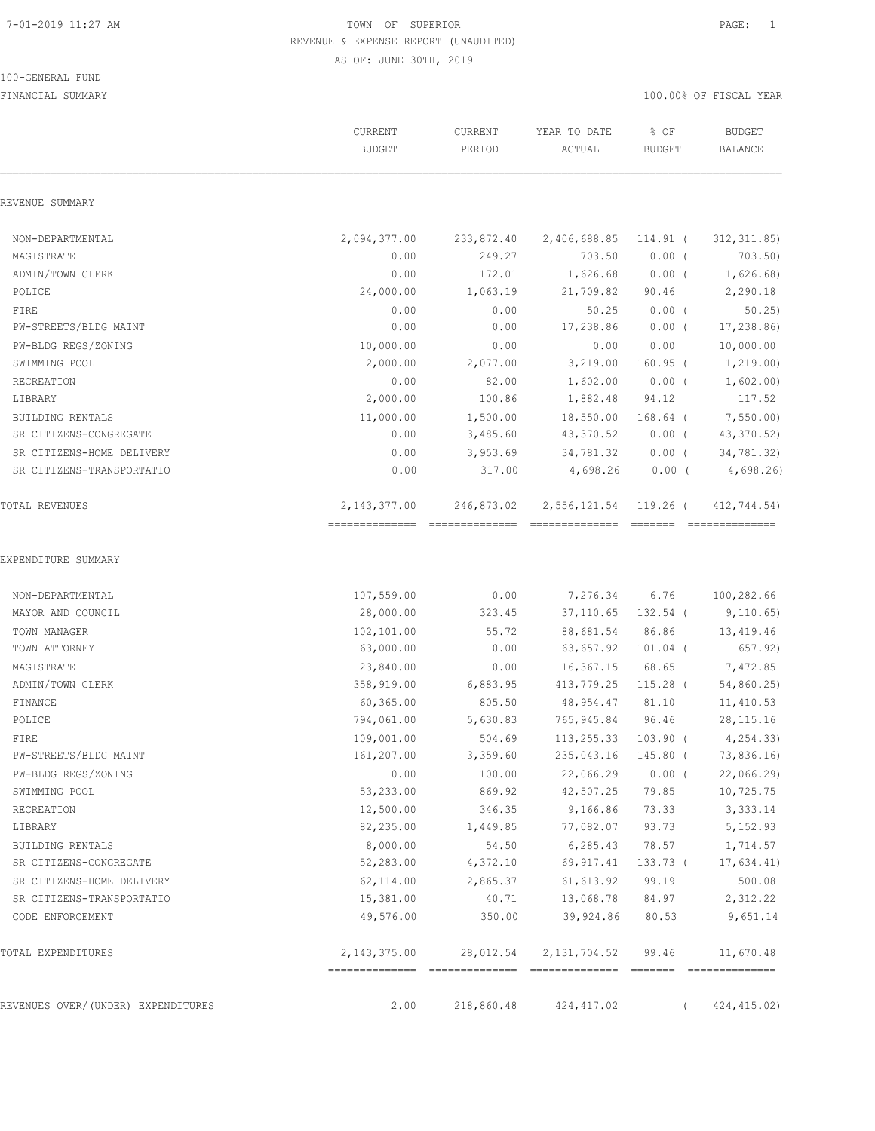#### 100-GENERAL FUND

|                                         | CURRENT<br><b>BUDGET</b> | CURRENT<br>PERIOD | YEAR TO DATE<br>ACTUAL | % OF<br><b>BUDGET</b> | <b>BUDGET</b><br><b>BALANCE</b> |
|-----------------------------------------|--------------------------|-------------------|------------------------|-----------------------|---------------------------------|
| REVENUE SUMMARY                         |                          |                   |                        |                       |                                 |
| NON-DEPARTMENTAL                        | 2,094,377.00             | 233,872.40        | 2,406,688.85 114.91 (  |                       | 312, 311.85                     |
| MAGISTRATE                              | 0.00                     | 249.27            | 703.50                 | $0.00$ (              | 703.50)                         |
| ADMIN/TOWN CLERK                        | 0.00                     | 172.01            | 1,626.68               | $0.00$ (              | 1,626.68                        |
| POLICE                                  | 24,000.00                | 1,063.19          | 21,709.82              | 90.46                 | 2,290.18                        |
| FIRE                                    | 0.00                     | 0.00              | 50.25                  | $0.00$ (              | 50.25                           |
| PW-STREETS/BLDG MAINT                   | 0.00                     | 0.00              | 17,238.86              | $0.00$ (              | 17, 238.86                      |
| PW-BLDG REGS/ZONING                     | 10,000.00                | 0.00              | 0.00                   | 0.00                  | 10,000.00                       |
| SWIMMING POOL                           | 2,000.00                 | 2,077.00          | 3,219.00               | $160.95$ (            | 1,219.00)                       |
| RECREATION                              | 0.00                     | 82.00             | 1,602.00               | $0.00$ (              | 1,602.00                        |
| LIBRARY                                 | 2,000.00                 | 100.86            | 1,882.48               | 94.12                 | 117.52                          |
| BUILDING RENTALS                        | 11,000.00                | 1,500.00          | 18,550.00 168.64 (     |                       | 7,550.00                        |
| SR CITIZENS-CONGREGATE                  | 0.00                     | 3,485.60          | 43,370.52              | $0.00$ (              | 43,370.52)                      |
| SR CITIZENS-HOME DELIVERY               | 0.00                     | 3,953.69          | 34,781.32              | $0.00$ (              | 34,781.32)                      |
| SR CITIZENS-TRANSPORTATIO               | 0.00                     | 317.00            | 4,698.26               | $0.00$ (              | 4,698.26                        |
| TOTAL REVENUES                          | 2, 143, 377.00           | 246,873.02        | 2,556,121.54           | 119.26 (              | 412,744.54)                     |
| EXPENDITURE SUMMARY<br>NON-DEPARTMENTAL | 107,559.00               | 0.00              | 7,276.34               | 6.76                  | 100,282.66                      |
| MAYOR AND COUNCIL                       | 28,000.00                | 323.45            |                        | 37,110.65 132.54 (    | 9,110.65)                       |
| TOWN MANAGER                            | 102,101.00               | 55.72             | 88,681.54 86.86        |                       | 13,419.46                       |
| TOWN ATTORNEY                           | 63,000.00                | 0.00              | 63,657.92 101.04 (     |                       | 657.92)                         |
| MAGISTRATE                              | 23,840.00                | 0.00              | 16,367.15              | 68.65                 | 7,472.85                        |
| ADMIN/TOWN CLERK                        | 358,919.00               | 6,883.95          | 413,779.25 115.28 (    |                       | 54,860.25)                      |
| FINANCE                                 | 60,365.00                | 805.50            | 48,954.47              | 81.10                 | 11,410.53                       |
| POLICE                                  | 794,061.00               | 5,630.83          | 765,945.84             | 96.46                 | 28, 115. 16                     |
| FIRE                                    | 109,001.00               | 504.69            | 113, 255.33            | $103.90$ (            | 4, 254.33                       |
| PW-STREETS/BLDG MAINT                   | 161,207.00               | 3,359.60          |                        | 235,043.16 145.80 (   | 73,836.16)                      |
| PW-BLDG REGS/ZONING                     | 0.00                     | 100.00            |                        | 22,066.29 0.00 (      | 22,066.29                       |
| SWIMMING POOL                           | 53,233.00                | 869.92            | 42,507.25              | 79.85                 | 10,725.75                       |
| RECREATION                              | 12,500.00                | 346.35            | 9,166.86               | 73.33                 | 3,333.14                        |
| LIBRARY                                 | 82,235.00                | 1,449.85          | 77,082.07              | 93.73                 | 5,152.93                        |
| BUILDING RENTALS                        | 8,000.00                 | 54.50             | 6, 285.43              | 78.57                 | 1,714.57                        |
| SR CITIZENS-CONGREGATE                  | 52,283.00                | 4,372.10          | 69,917.41              | 133.73 (              | 17,634.41)                      |
| SR CITIZENS-HOME DELIVERY               | 62,114.00                | 2,865.37          | 61,613.92              | 99.19                 | 500.08                          |
| SR CITIZENS-TRANSPORTATIO               | 15,381.00                | 40.71             | 13,068.78              | 84.97                 | 2,312.22                        |
| CODE ENFORCEMENT                        | 49,576.00                | 350.00            | 39,924.86              | 80.53                 | 9,651.14                        |
| TOTAL EXPENDITURES                      | 2,143,375.00             | 28,012.54         | 2,131,704.52           | 99.46                 | 11,670.48<br>- COOCCOOCCOOC     |
| REVENUES OVER/(UNDER) EXPENDITURES      | 2.00                     | 218,860.48        | 424, 417.02            | $\left($              | 424, 415.02)                    |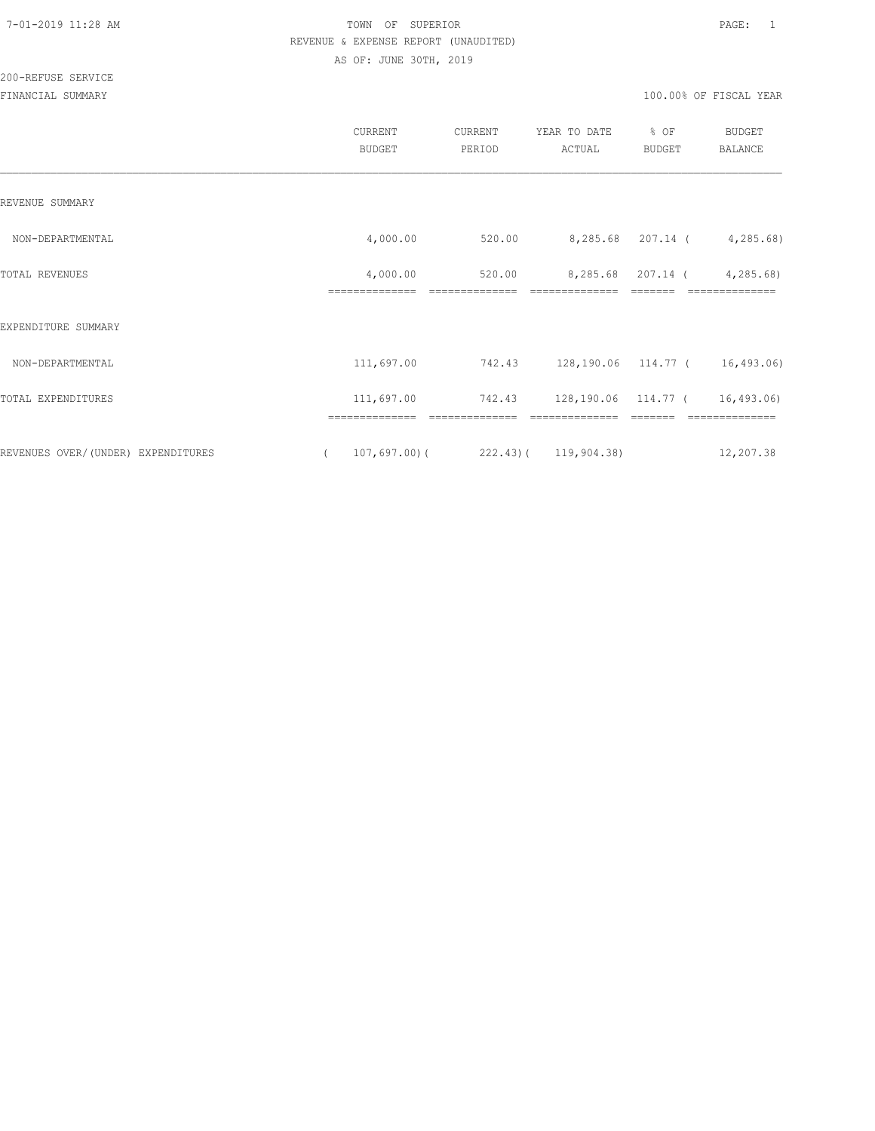200-REFUSE SERVICE

|                                                      | CURRENT<br><b>BUDGET</b>   | CURRENT<br>PERIOD                                | YEAR TO DATE<br>ACTUAL | % OF<br><b>BUDGET</b> | BUDGET<br><b>BALANCE</b>                      |
|------------------------------------------------------|----------------------------|--------------------------------------------------|------------------------|-----------------------|-----------------------------------------------|
| REVENUE SUMMARY                                      |                            |                                                  |                        |                       |                                               |
| NON-DEPARTMENTAL                                     | 4,000.00                   | 520.00                                           |                        |                       | 8,285.68 207.14 (4,285.68)                    |
| TOTAL REVENUES                                       | 4,000.00<br>============== | 520.00                                           | ==============         |                       | 8,285.68 207.14 ( 4,285.68)<br>============== |
| EXPENDITURE SUMMARY                                  |                            |                                                  |                        |                       |                                               |
| NON-DEPARTMENTAL                                     | 111,697.00                 | 742.43 128,190.06 114.77 ( 16,493.06)            |                        |                       |                                               |
| TOTAL EXPENDITURES                                   |                            | 111,697.00 742.43 128,190.06 114.77 ( 16,493.06) |                        |                       |                                               |
|                                                      |                            |                                                  |                        |                       |                                               |
| REVENUES OVER/(UNDER) EXPENDITURES<br>$\overline{a}$ |                            | $107,697.00$ (222.43) (119,904.38)               |                        |                       | 12,207.38                                     |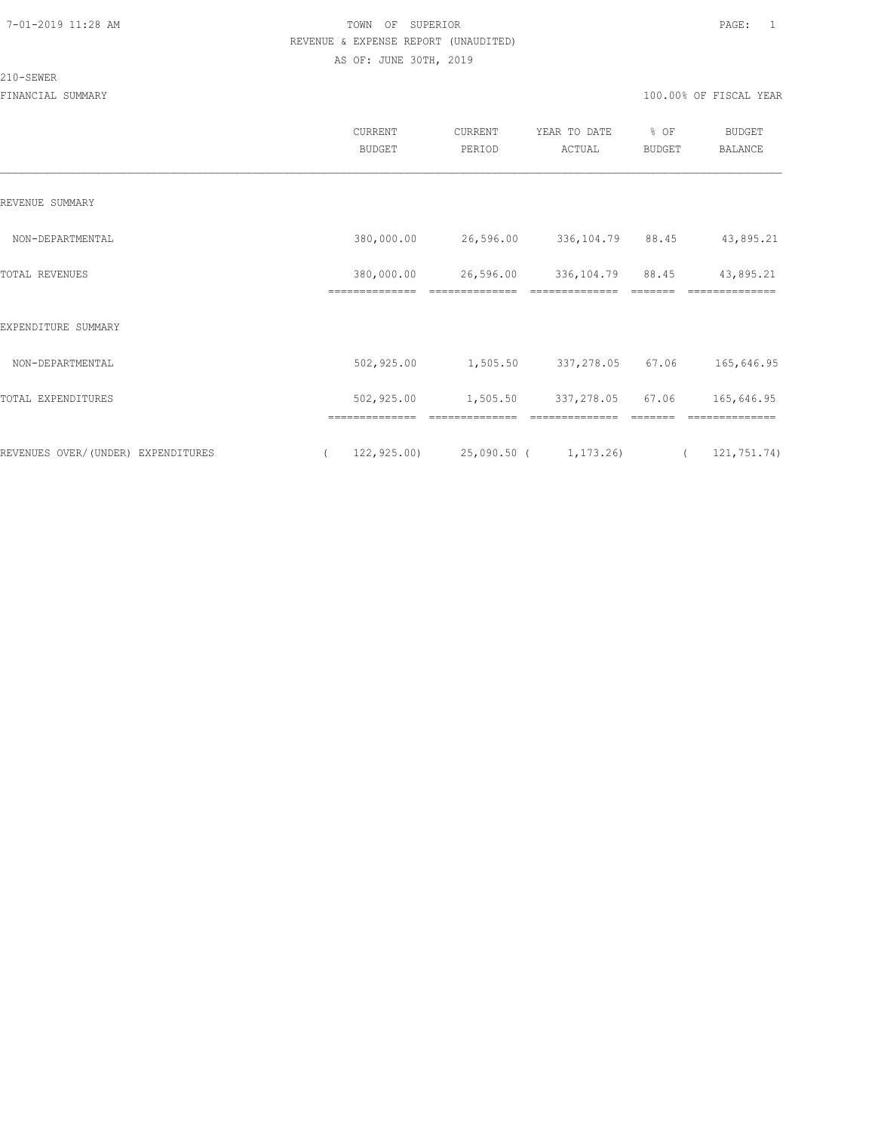# 210-SEWER

|                                    | CURRENT<br><b>BUDGET</b>     | CURRENT<br>PERIOD           | YEAR TO DATE<br>ACTUAL                | % OF<br><b>BUDGET</b> | <b>BUDGET</b><br>BALANCE    |
|------------------------------------|------------------------------|-----------------------------|---------------------------------------|-----------------------|-----------------------------|
| REVENUE SUMMARY                    |                              |                             |                                       |                       |                             |
| NON-DEPARTMENTAL                   | 380,000.00                   | 26,596.00                   | 336,104.79 88.45                      |                       | 43,895.21                   |
| TOTAL REVENUES                     | 380,000.00<br>============== | 26,596.00<br>============== | 336, 104. 79 88. 45<br>============== |                       | 43,895.21<br>============== |
| EXPENDITURE SUMMARY                |                              |                             |                                       |                       |                             |
| NON-DEPARTMENTAL                   | 502,925.00                   | 1,505.50                    | 337,278.05 67.06                      |                       | 165,646.95                  |
| TOTAL EXPENDITURES                 | 502,925.00                   | 1,505.50                    | 337,278.05                            | 67.06                 | 165,646.95                  |
| REVENUES OVER/(UNDER) EXPENDITURES | ==============               |                             | $122, 925.00$ 25,090.50 ( 1,173.26)   | $\left($              | 121,751.74)                 |
|                                    |                              |                             |                                       |                       |                             |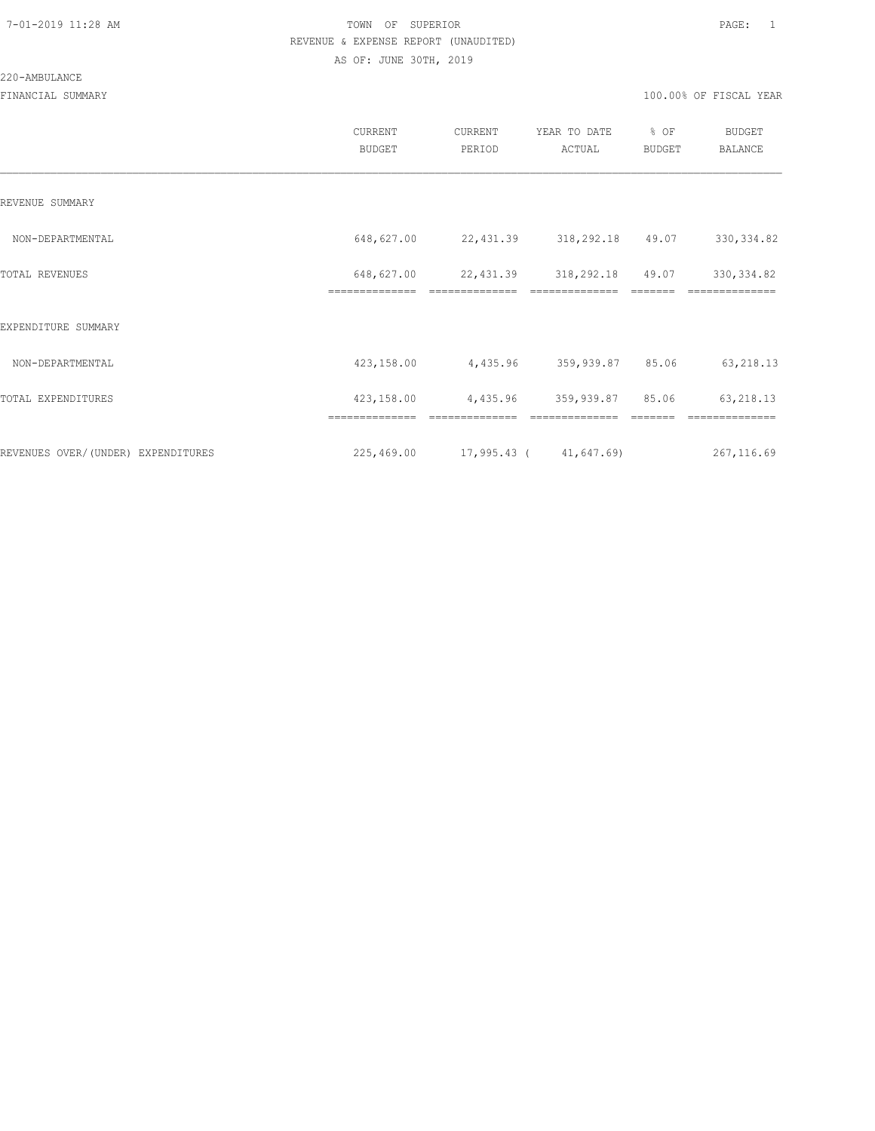#### 220-AMBULANCE

|                                     | <b>CURRENT</b><br><b>BUDGET</b> | CURRENT<br>PERIOD           | YEAR TO DATE<br>ACTUAL | % OF<br><b>BUDGET</b> | <b>BUDGET</b><br><b>BALANCE</b> |
|-------------------------------------|---------------------------------|-----------------------------|------------------------|-----------------------|---------------------------------|
| REVENUE SUMMARY                     |                                 |                             |                        |                       |                                 |
| NON-DEPARTMENTAL                    | 648,627.00                      | 22,431.39                   | 318,292.18             | 49.07                 | 330, 334.82                     |
| TOTAL REVENUES                      | 648,627.00<br>==============    | 22,431.39                   | 318,292.18             | 49.07                 | 330, 334.82                     |
| EXPENDITURE SUMMARY                 |                                 |                             |                        |                       |                                 |
| NON-DEPARTMENTAL                    | 423,158.00                      | 4,435.96                    | 359,939.87             | 85.06                 | 63, 218.13                      |
| TOTAL EXPENDITURES                  | 423,158.00                      | 4,435.96                    | 359,939.87 85.06       |                       | 63, 218.13                      |
|                                     |                                 |                             |                        |                       |                                 |
| REVENUES OVER/ (UNDER) EXPENDITURES | 225,469.00                      | $17,995.43$ ( $41,647.69$ ) |                        |                       | 267,116.69                      |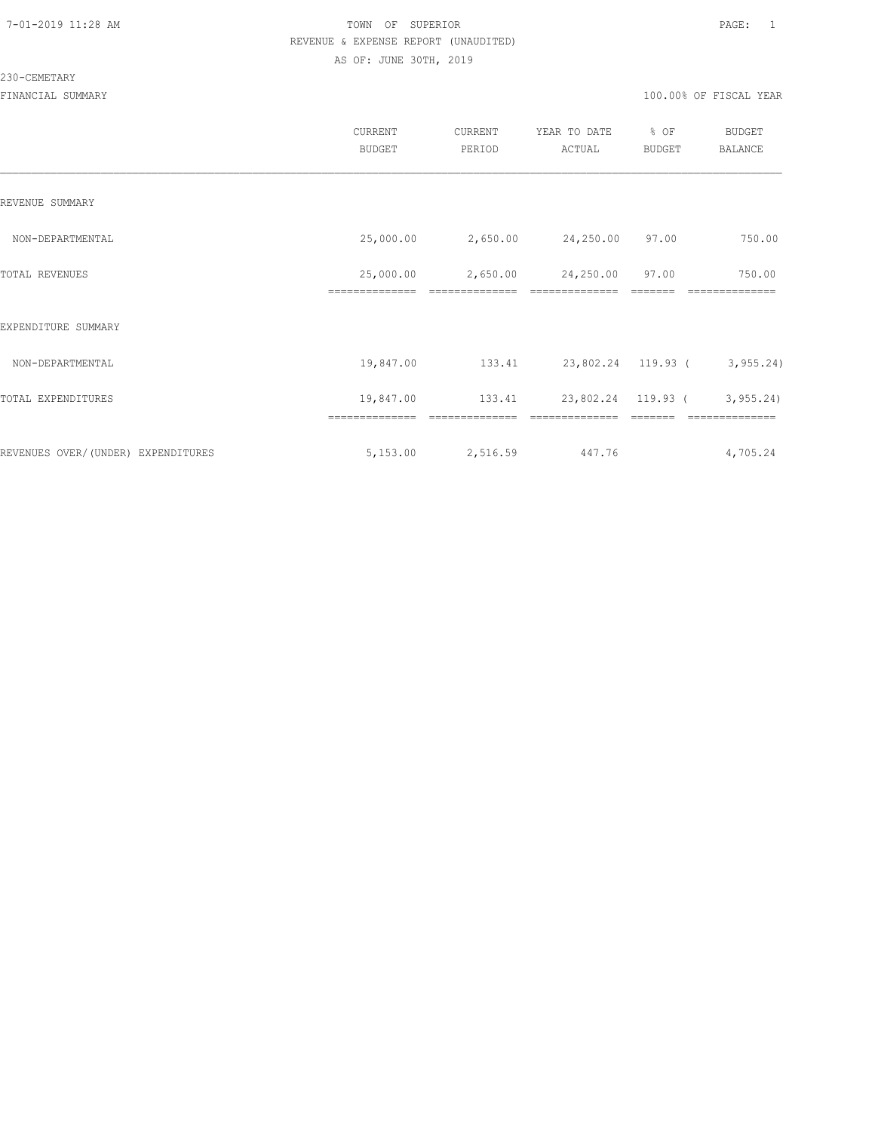#### 230-CEMETARY

|                                    | CURRENT<br><b>BUDGET</b>    | <b>CURRENT</b><br>PERIOD   | YEAR TO DATE<br>ACTUAL | % OF<br><b>BUDGET</b> | <b>BUDGET</b><br><b>BALANCE</b> |
|------------------------------------|-----------------------------|----------------------------|------------------------|-----------------------|---------------------------------|
| REVENUE SUMMARY                    |                             |                            |                        |                       |                                 |
| NON-DEPARTMENTAL                   | 25,000.00                   | 2,650.00                   | 24,250.00 97.00        |                       | 750.00                          |
| TOTAL REVENUES                     | 25,000.00<br>============== | 2,650.00<br>============== | 24,250.00              | 97.00                 | 750.00                          |
| EXPENDITURE SUMMARY                |                             |                            |                        |                       |                                 |
| NON-DEPARTMENTAL                   | 19,847.00                   | 133.41                     |                        |                       | 23,802.24 119.93 ( 3,955.24)    |
| TOTAL EXPENDITURES                 | 19,847.00                   | 133.41                     | 23,802.24 119.93 (     |                       | 3, 955.24                       |
|                                    |                             |                            |                        |                       |                                 |
| REVENUES OVER/(UNDER) EXPENDITURES | 5,153.00                    | 2,516.59                   | 447.76                 |                       | 4,705.24                        |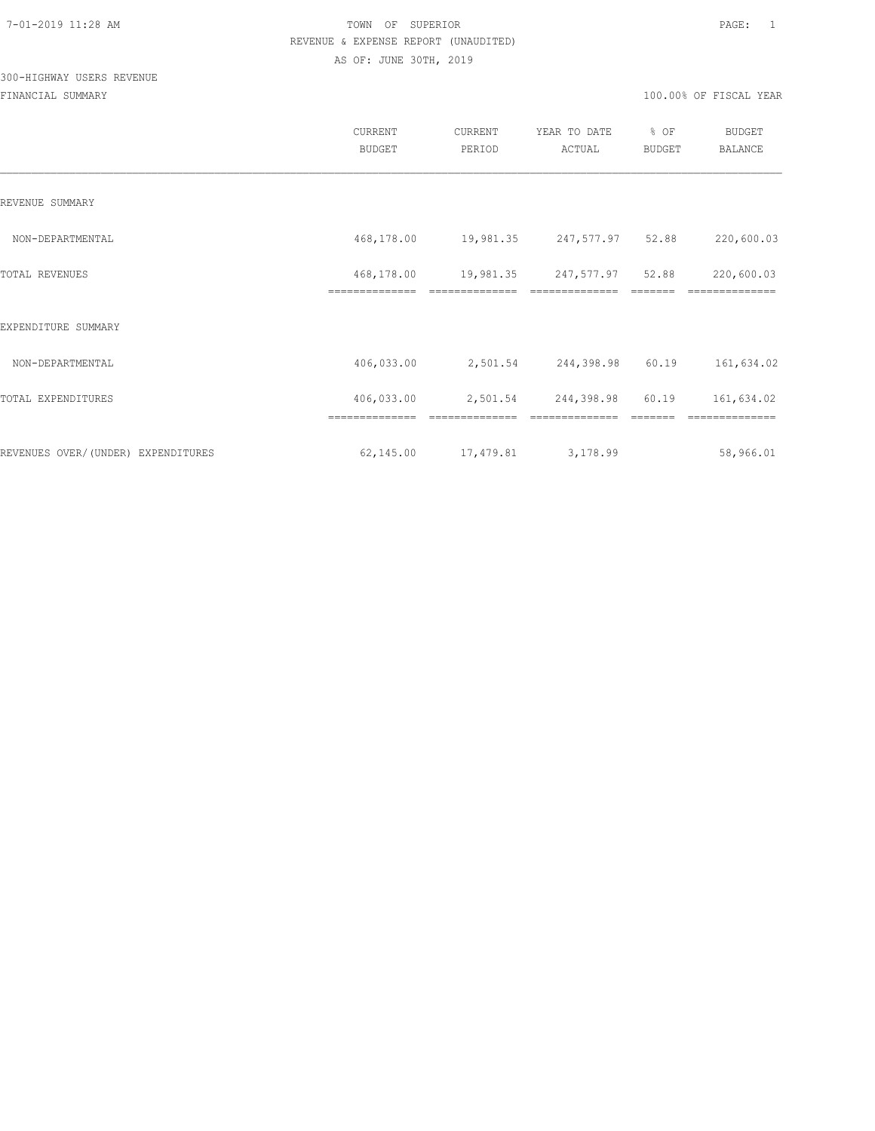## 300-HIGHWAY USERS REVENUE

|                                    | <b>CURRENT</b><br><b>BUDGET</b> | CURRENT<br>PERIOD | YEAR TO DATE<br>ACTUAL     | % OF<br>BUDGET | BUDGET<br><b>BALANCE</b> |
|------------------------------------|---------------------------------|-------------------|----------------------------|----------------|--------------------------|
| REVENUE SUMMARY                    |                                 |                   |                            |                |                          |
| NON-DEPARTMENTAL                   | 468,178.00                      |                   | 19,981.35 247,577.97 52.88 |                | 220,600.03               |
| TOTAL REVENUES                     | 468,178.00                      | 19,981.35         | 247,577.97                 | 52.88          | 220,600.03               |
| EXPENDITURE SUMMARY                |                                 |                   |                            |                |                          |
| NON-DEPARTMENTAL                   | 406,033.00                      |                   | 2,501.54 244,398.98        | 60.19          | 161,634.02               |
| TOTAL EXPENDITURES                 | 406,033.00                      |                   | 2,501.54 244,398.98 60.19  |                | 161,634.02               |
|                                    | ==============                  | ==============    | ==============             |                | ==============           |
| REVENUES OVER/(UNDER) EXPENDITURES | 62,145.00                       | 17,479.81         | 3,178.99                   |                | 58,966.01                |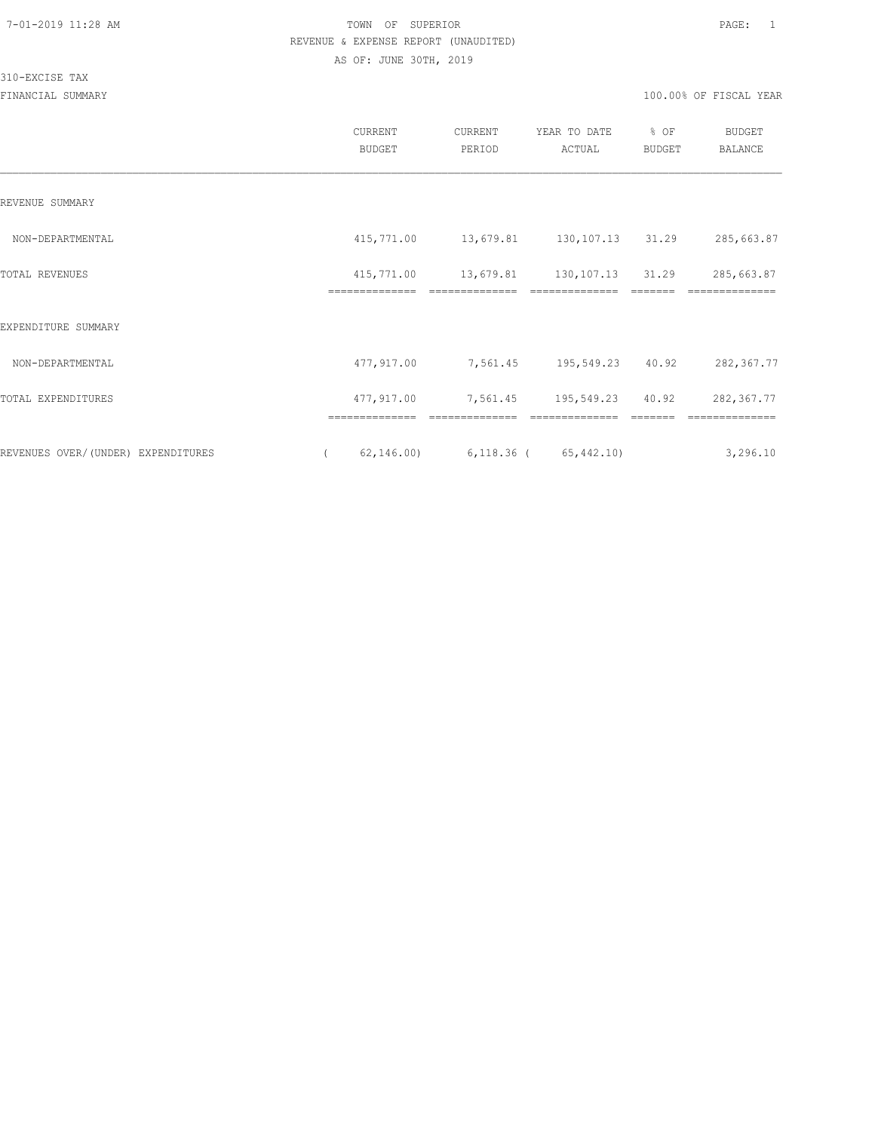310-EXCISE TAX

|                                    | CURRENT<br><b>BUDGET</b>     | CURRENT<br>PERIOD                        | YEAR TO DATE<br>ACTUAL                       | % OF<br>BUDGET | <b>BUDGET</b><br>BALANCE |
|------------------------------------|------------------------------|------------------------------------------|----------------------------------------------|----------------|--------------------------|
| REVENUE SUMMARY                    |                              |                                          |                                              |                |                          |
| NON-DEPARTMENTAL                   |                              | 415,771.00  13,679.81  130,107.13  31.29 |                                              |                | 285,663.87               |
| TOTAL REVENUES                     | 415,771.00<br>============== |                                          | 13,679.81 130,107.13 31.29<br>-------------- |                | 285,663.87               |
| EXPENDITURE SUMMARY                |                              |                                          |                                              |                |                          |
| NON-DEPARTMENTAL                   | 477,917.00                   | 7,561.45 195,549.23                      |                                              | 40.92          | 282,367.77               |
| TOTAL EXPENDITURES                 | 477,917.00                   | 7,561.45                                 | 195,549.23                                   | 40.92          | 282,367.77               |
| REVENUES OVER/(UNDER) EXPENDITURES | ==============<br>62, 146.00 | $6,118.36$ (                             | 65, 442.10                                   |                | 3,296.10                 |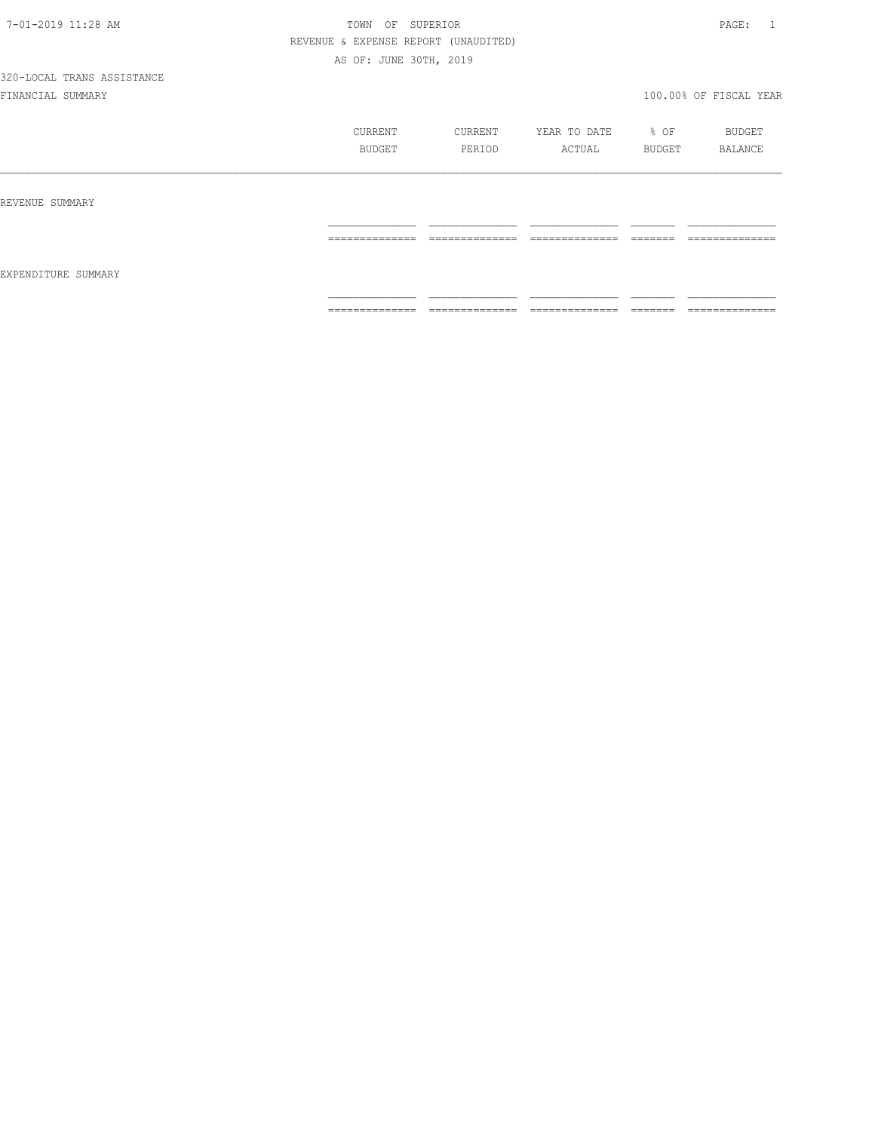|                     | CURRENT<br>BUDGET | CURRENT<br>PERIOD                 | YEAR TO DATE<br>ACTUAL | $\div$ OF<br>BUDGET                                                                                                                                                                                                                                                                                                                                                                                                                                                                                                                                               | BUDGET<br>BALANCE                 |
|---------------------|-------------------|-----------------------------------|------------------------|-------------------------------------------------------------------------------------------------------------------------------------------------------------------------------------------------------------------------------------------------------------------------------------------------------------------------------------------------------------------------------------------------------------------------------------------------------------------------------------------------------------------------------------------------------------------|-----------------------------------|
| REVENUE SUMMARY     |                   |                                   |                        |                                                                                                                                                                                                                                                                                                                                                                                                                                                                                                                                                                   |                                   |
|                     | ==============    | ==============                    | ==============         | $\begin{array}{c} \begin{array}{c} \begin{array}{c} \begin{array}{c} \begin{array}{c} \end{array}\\ \end{array}\\ \end{array} \end{array} \end{array} \end{array} \end{array} \end{array} \end{array} \begin{array}{c} \begin{array}{c} \begin{array}{c} \begin{array}{c} \end{array}\\ \end{array} \end{array} \end{array} \end{array} \begin{array}{c} \begin{array}{c} \begin{array}{c} \end{array}\\ \end{array} \end{array} \end{array} \begin{array}{c} \begin{array}{c} \begin{array}{c} \end{array}\\ \end{array} \end{array} \end{array} \begin{array}{$ | ==============                    |
| EXPENDITURE SUMMARY |                   |                                   |                        |                                                                                                                                                                                                                                                                                                                                                                                                                                                                                                                                                                   |                                   |
|                     | ==============    | ______________<br>--------------- | ==============         | --------<br>-------                                                                                                                                                                                                                                                                                                                                                                                                                                                                                                                                               | ______________<br>--------------- |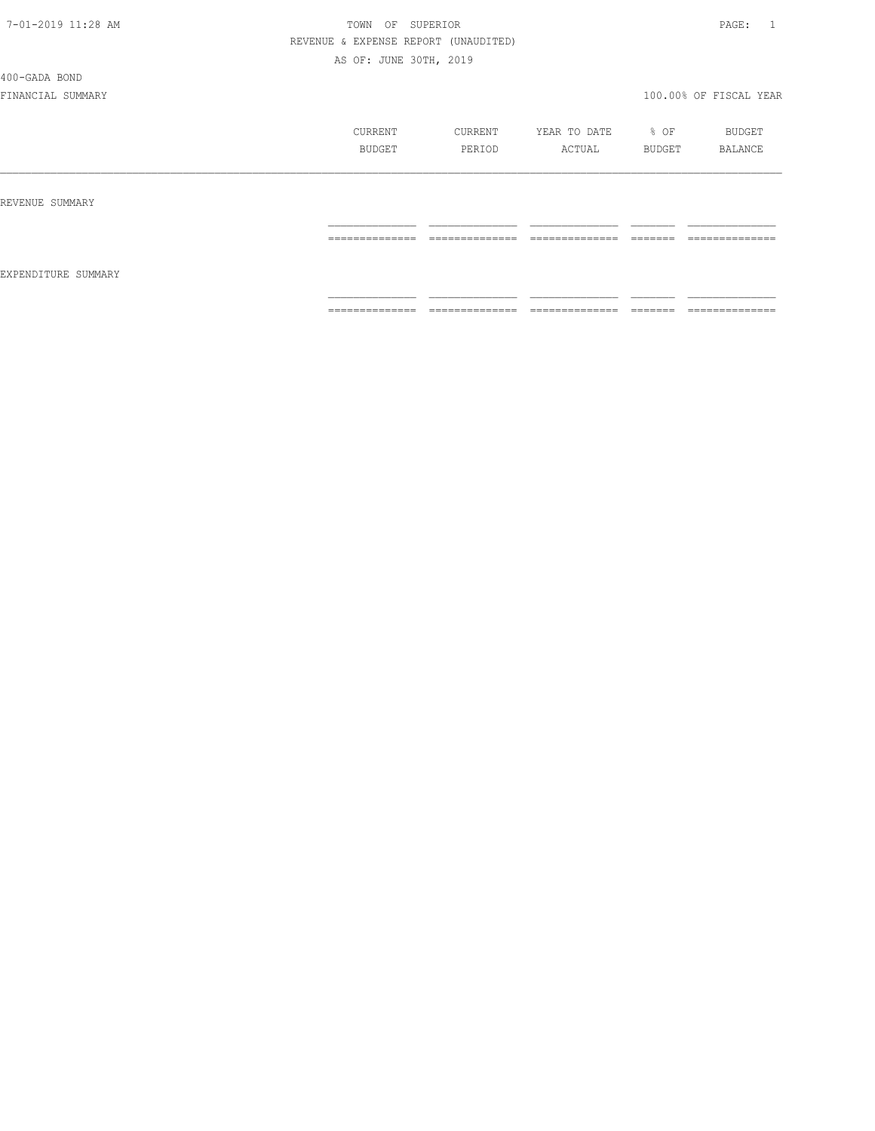400-GADA BOND

|                     | CURRENT<br>BUDGET                                                                                                                                                                                                                                                                                                                                                                                                                                                                            | CURRENT<br>PERIOD                                                                                                                                                                                                                                                                                                                                                                                                                                                                            | YEAR TO DATE<br>ACTUAL                                                                                                                                                                                                                                                                                                                                                                                                                                                                 | % OF<br>BUDGET      | BUDGET<br>BALANCE                                                                                                                                                                                                                                                                                                                                                                                                                                                                            |
|---------------------|----------------------------------------------------------------------------------------------------------------------------------------------------------------------------------------------------------------------------------------------------------------------------------------------------------------------------------------------------------------------------------------------------------------------------------------------------------------------------------------------|----------------------------------------------------------------------------------------------------------------------------------------------------------------------------------------------------------------------------------------------------------------------------------------------------------------------------------------------------------------------------------------------------------------------------------------------------------------------------------------------|----------------------------------------------------------------------------------------------------------------------------------------------------------------------------------------------------------------------------------------------------------------------------------------------------------------------------------------------------------------------------------------------------------------------------------------------------------------------------------------|---------------------|----------------------------------------------------------------------------------------------------------------------------------------------------------------------------------------------------------------------------------------------------------------------------------------------------------------------------------------------------------------------------------------------------------------------------------------------------------------------------------------------|
| REVENUE SUMMARY     |                                                                                                                                                                                                                                                                                                                                                                                                                                                                                              |                                                                                                                                                                                                                                                                                                                                                                                                                                                                                              |                                                                                                                                                                                                                                                                                                                                                                                                                                                                                        |                     |                                                                                                                                                                                                                                                                                                                                                                                                                                                                                              |
|                     | $\begin{array}{c} \multicolumn{2}{c} {\textbf{1}} & \multicolumn{2}{c} {\textbf{2}} & \multicolumn{2}{c} {\textbf{3}} & \multicolumn{2}{c} {\textbf{4}} \\ \multicolumn{2}{c} {\textbf{2}} & \multicolumn{2}{c} {\textbf{3}} & \multicolumn{2}{c} {\textbf{4}} & \multicolumn{2}{c} {\textbf{5}} & \multicolumn{2}{c} {\textbf{6}} \\ \multicolumn{2}{c} {\textbf{5}} & \multicolumn{2}{c} {\textbf{6}} & \multicolumn{2}{c} {\textbf{7}} & \multicolumn{2}{c} {\textbf{8}} & \multicolumn{$ | $\begin{array}{c} \multicolumn{2}{c} {\textbf{1}} & \multicolumn{2}{c} {\textbf{2}} & \multicolumn{2}{c} {\textbf{3}} & \multicolumn{2}{c} {\textbf{4}} \\ \multicolumn{2}{c} {\textbf{2}} & \multicolumn{2}{c} {\textbf{3}} & \multicolumn{2}{c} {\textbf{4}} & \multicolumn{2}{c} {\textbf{5}} & \multicolumn{2}{c} {\textbf{6}} \\ \multicolumn{2}{c} {\textbf{4}} & \multicolumn{2}{c} {\textbf{5}} & \multicolumn{2}{c} {\textbf{6}} & \multicolumn{2}{c} {\textbf{6}} & \multicolumn{$ | $\begin{array}{cccccccccc} \multicolumn{2}{c}{} & \multicolumn{2}{c}{} & \multicolumn{2}{c}{} & \multicolumn{2}{c}{} & \multicolumn{2}{c}{} & \multicolumn{2}{c}{} & \multicolumn{2}{c}{} & \multicolumn{2}{c}{} & \multicolumn{2}{c}{} & \multicolumn{2}{c}{} & \multicolumn{2}{c}{} & \multicolumn{2}{c}{} & \multicolumn{2}{c}{} & \multicolumn{2}{c}{} & \multicolumn{2}{c}{} & \multicolumn{2}{c}{} & \multicolumn{2}{c}{} & \multicolumn{2}{c}{} & \multicolumn{2}{c}{} & \mult$ | -------<br>________ | $\begin{array}{c} \multicolumn{2}{c} {\textbf{1}} & \multicolumn{2}{c} {\textbf{2}} & \multicolumn{2}{c} {\textbf{3}} & \multicolumn{2}{c} {\textbf{4}} \\ \multicolumn{2}{c} {\textbf{2}} & \multicolumn{2}{c} {\textbf{3}} & \multicolumn{2}{c} {\textbf{4}} & \multicolumn{2}{c} {\textbf{5}} & \multicolumn{2}{c} {\textbf{6}} \\ \multicolumn{2}{c} {\textbf{4}} & \multicolumn{2}{c} {\textbf{5}} & \multicolumn{2}{c} {\textbf{6}} & \multicolumn{2}{c} {\textbf{6}} & \multicolumn{$ |
| EXPENDITURE SUMMARY |                                                                                                                                                                                                                                                                                                                                                                                                                                                                                              |                                                                                                                                                                                                                                                                                                                                                                                                                                                                                              |                                                                                                                                                                                                                                                                                                                                                                                                                                                                                        |                     |                                                                                                                                                                                                                                                                                                                                                                                                                                                                                              |
|                     | $\begin{array}{c} \multicolumn{2}{c} {\textbf{1}} & \multicolumn{2}{c} {\textbf{2}} & \multicolumn{2}{c} {\textbf{3}} & \multicolumn{2}{c} {\textbf{4}} \\ \multicolumn{2}{c} {\textbf{2}} & \multicolumn{2}{c} {\textbf{3}} & \multicolumn{2}{c} {\textbf{4}} & \multicolumn{2}{c} {\textbf{5}} & \multicolumn{2}{c} {\textbf{6}} \\ \multicolumn{2}{c} {\textbf{5}} & \multicolumn{2}{c} {\textbf{6}} & \multicolumn{2}{c} {\textbf{7}} & \multicolumn{2}{c} {\textbf{8}} & \multicolumn{$ | ______________<br>_______________                                                                                                                                                                                                                                                                                                                                                                                                                                                            | $\begin{array}{cccccccccc} \multicolumn{2}{c}{} & \multicolumn{2}{c}{} & \multicolumn{2}{c}{} & \multicolumn{2}{c}{} & \multicolumn{2}{c}{} & \multicolumn{2}{c}{} & \multicolumn{2}{c}{} & \multicolumn{2}{c}{} & \multicolumn{2}{c}{} & \multicolumn{2}{c}{} & \multicolumn{2}{c}{} & \multicolumn{2}{c}{} & \multicolumn{2}{c}{} & \multicolumn{2}{c}{} & \multicolumn{2}{c}{} & \multicolumn{2}{c}{} & \multicolumn{2}{c}{} & \multicolumn{2}{c}{} & \multicolumn{2}{c}{} & \mult$ |                     | _______________<br>---------------                                                                                                                                                                                                                                                                                                                                                                                                                                                           |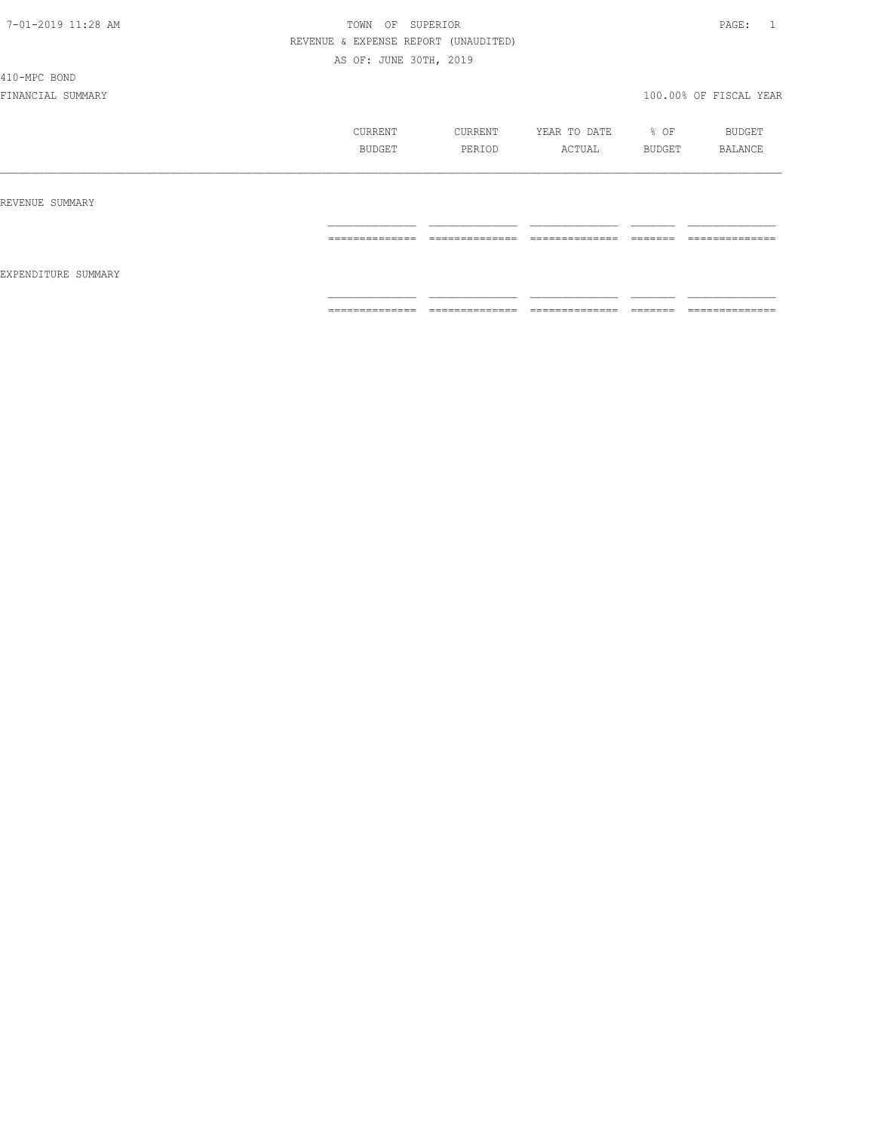410-MPC BOND

|                     | CURRENT<br>BUDGET | CURRENT<br>PERIOD               | YEAR TO DATE<br>ACTUAL          | % OF<br>BUDGET       | BUDGET<br>BALANCE                 |
|---------------------|-------------------|---------------------------------|---------------------------------|----------------------|-----------------------------------|
| REVENUE SUMMARY     | ==============    | ______________<br>------------- | ______________<br>------------- | -------<br>======    | --------------<br>-------------   |
| EXPENDITURE SUMMARY |                   |                                 |                                 |                      |                                   |
|                     | ==============    | --------------<br>.             | ---------------<br>.            | --------<br>________ | --------------<br>_______________ |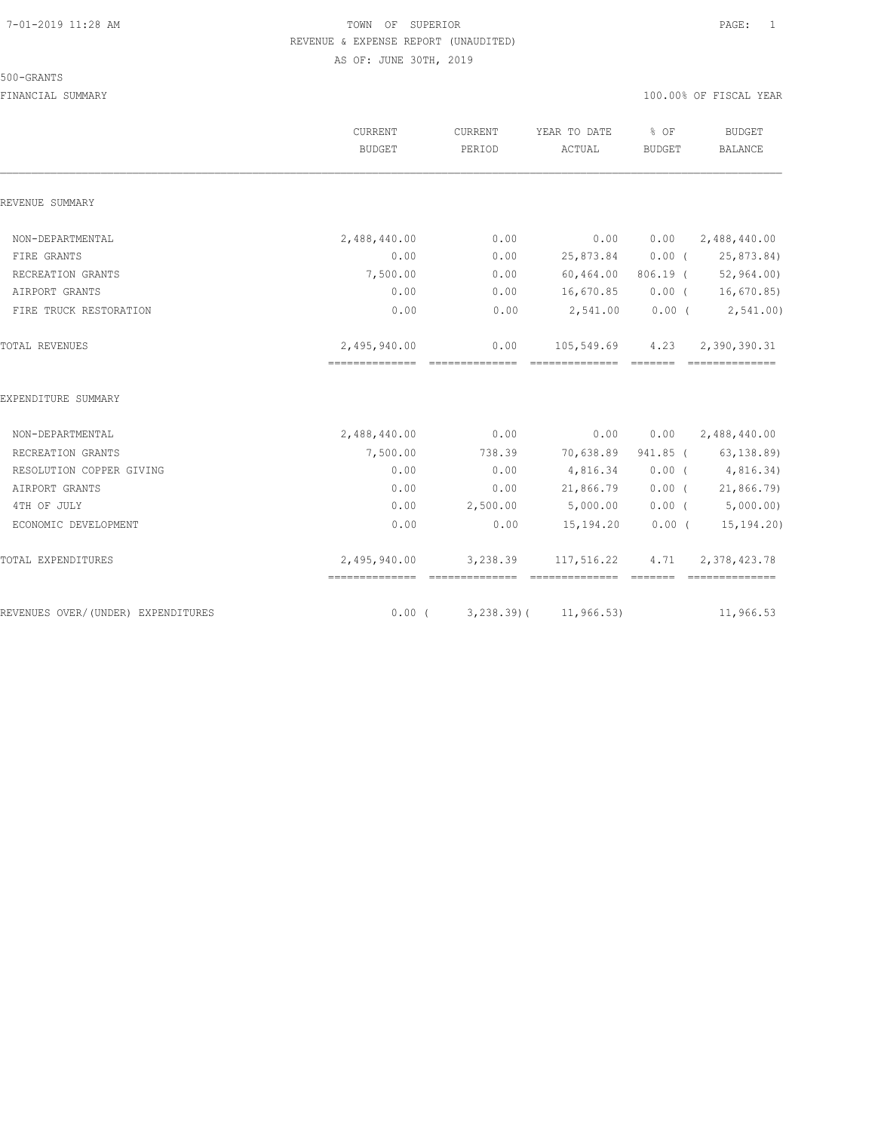#### 500-GRANTS

|                                    | CURRENT<br><b>BUDGET</b> | CURRENT<br>PERIOD      | YEAR TO DATE<br>ACTUAL | % OF<br><b>BUDGET</b> | <b>BUDGET</b><br><b>BALANCE</b>     |
|------------------------------------|--------------------------|------------------------|------------------------|-----------------------|-------------------------------------|
| REVENUE SUMMARY                    |                          |                        |                        |                       |                                     |
| NON-DEPARTMENTAL                   | 2,488,440.00             | 0.00                   | 0.00                   | 0.00                  | 2,488,440.00                        |
| FIRE GRANTS                        | 0.00                     | 0.00                   | 25,873.84              | $0.00$ (              | 25,873.84)                          |
| RECREATION GRANTS                  | 7,500.00                 | 0.00                   | 60,464.00              |                       | 806.19 ( 52,964.00)                 |
| AIRPORT GRANTS                     | 0.00                     | 0.00                   | 16,670.85              |                       | $0.00$ ( $16,670.85$ )              |
| FIRE TRUCK RESTORATION             | 0.00                     | 0.00                   | 2,541.00               |                       | $0.00$ ( $2,541.00$ )               |
| TOTAL REVENUES                     | 2,495,940.00             | 0.00<br>============== | 105,549.69             | 4.23<br>=======       | 2,390,390.31                        |
| EXPENDITURE SUMMARY                |                          |                        |                        |                       |                                     |
| NON-DEPARTMENTAL                   | 2,488,440.00             | 0.00                   | 0.00                   | 0.00                  | 2,488,440.00                        |
| RECREATION GRANTS                  | 7,500.00                 | 738.39                 | 70,638.89              |                       | 941.85 ( 63,138.89)                 |
| RESOLUTION COPPER GIVING           | 0.00                     | 0.00                   | 4,816.34               |                       | $0.00$ ( $4,816.34$ )               |
| AIRPORT GRANTS                     | 0.00                     | 0.00                   | 21,866.79              |                       | 0.00(21,866.79)                     |
| 4TH OF JULY                        | 0.00                     | 2,500.00               | 5,000.00               |                       | $0.00$ ( $5,000.00$ )               |
| ECONOMIC DEVELOPMENT               | 0.00                     | 0.00                   | 15,194.20              | $0.00$ (              | 15, 194.20                          |
| TOTAL EXPENDITURES                 | 2,495,940.00             |                        | 3,238.39 117,516.22    | <b>CONSIDER</b>       | 4.71 2,378,423.78<br>============== |
| REVENUES OVER/(UNDER) EXPENDITURES | $0.00$ (                 | $3,238.39$ (           | 11, 966.53)            |                       | 11,966.53                           |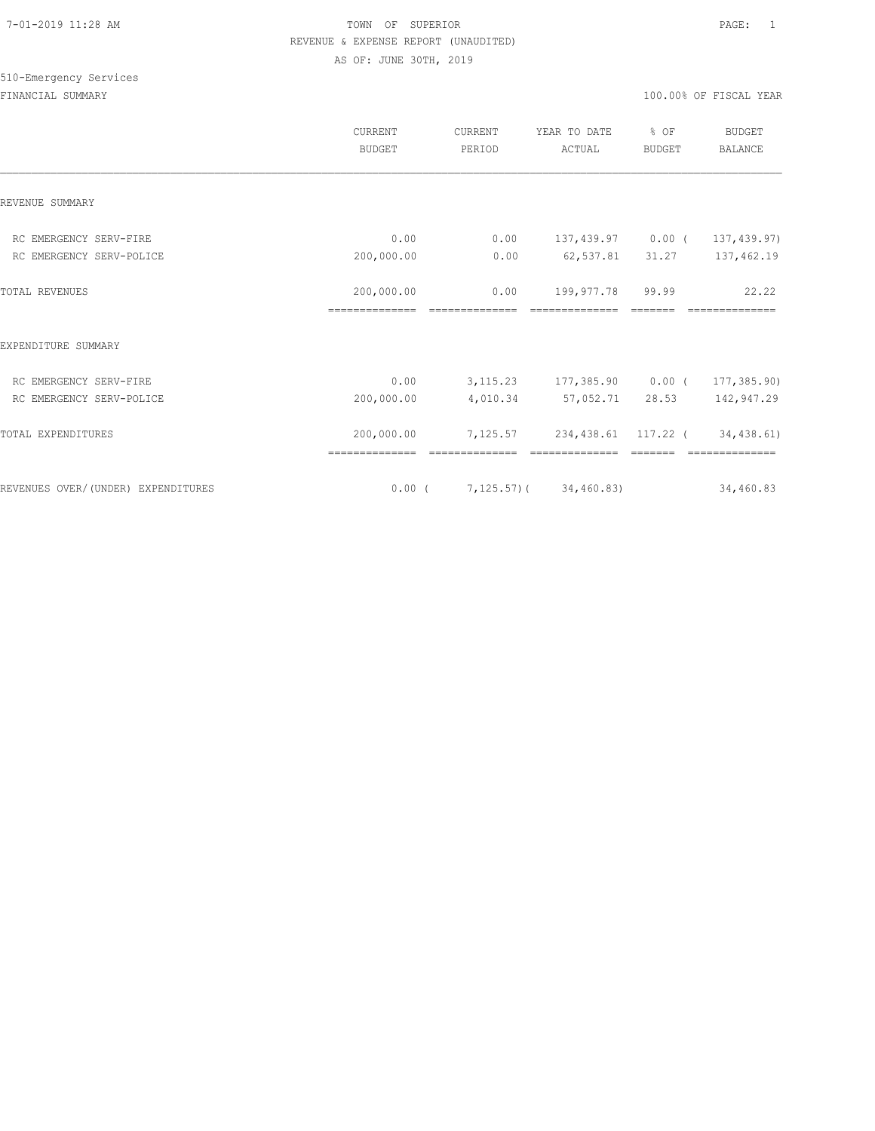# 510-Emergency Services

|                                    | CURRENT<br><b>BUDGET</b>     | CURRENT<br>PERIOD      | YEAR TO DATE<br>ACTUAL                | % OF<br>BUDGET | <b>BUDGET</b><br>BALANCE |
|------------------------------------|------------------------------|------------------------|---------------------------------------|----------------|--------------------------|
| REVENUE SUMMARY                    |                              |                        |                                       |                |                          |
| RC EMERGENCY SERV-FIRE             | 0.00                         | 0.00                   | 137,439.97 0.00 (                     |                | 137, 439.97)             |
| RC EMERGENCY SERV-POLICE           | 200,000.00                   | 0.00                   | 62,537.81                             | 31.27          | 137,462.19               |
| <b>TOTAL REVENUES</b>              | 200,000.00<br>============== | 0.00<br>============== | 199,977.78 99.99<br>==============    | =======        | 22.22<br>==============  |
| EXPENDITURE SUMMARY                |                              |                        |                                       |                |                          |
| RC EMERGENCY SERV-FIRE             | 0.00                         |                        | 3,115.23 177,385.90 0.00 (            |                | 177,385.90)              |
| RC EMERGENCY SERV-POLICE           | 200,000.00                   |                        | 4,010.34 57,052.71                    | 28.53          | 142,947.29               |
| TOTAL EXPENDITURES                 | 200,000.00                   |                        | 7,125.57 234,438.61 117.22 (          |                | 34,438.61)               |
| REVENUES OVER/(UNDER) EXPENDITURES |                              |                        | $0.00$ ( $7,125.57$ ) ( $34,460.83$ ) |                | 34,460.83                |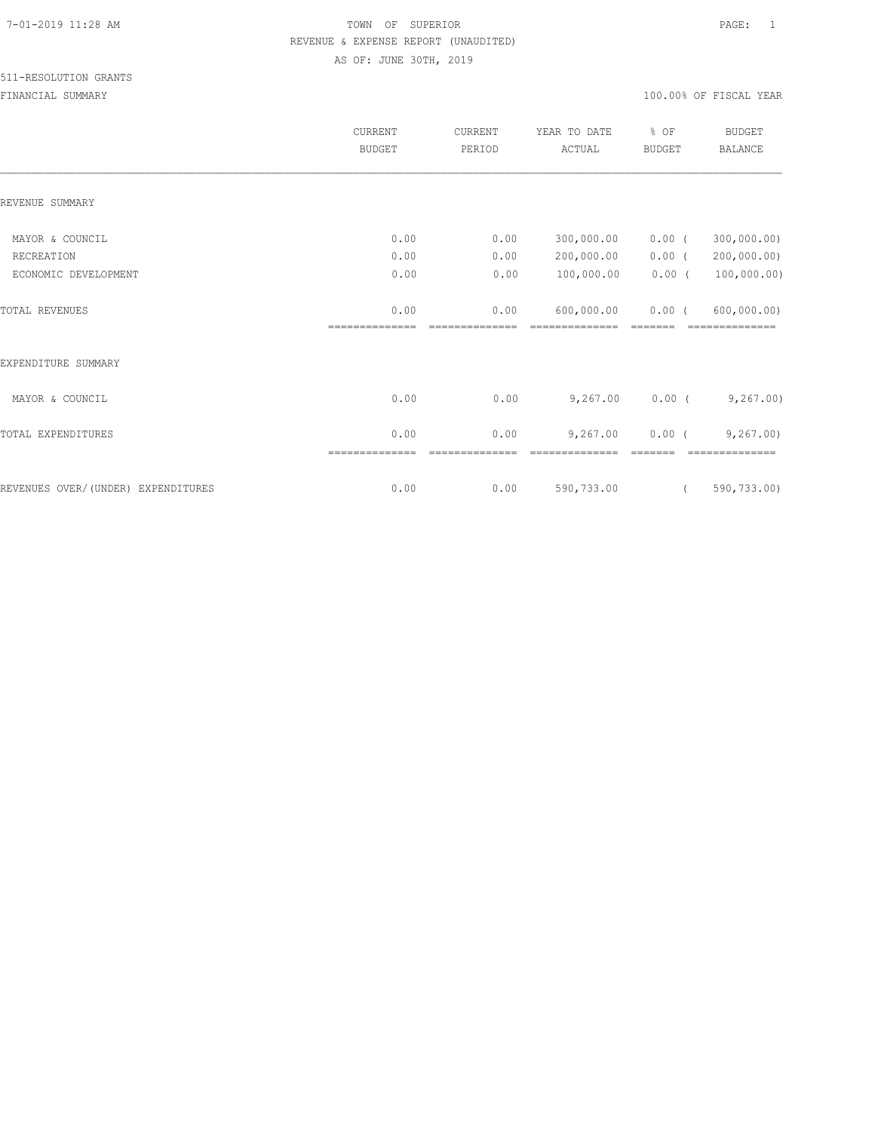#### 511-RESOLUTION GRANTS

|                                    | CURRENT<br><b>BUDGET</b> | CURRENT<br>PERIOD | YEAR TO DATE<br>ACTUAL | % OF<br><b>BUDGET</b> | <b>BUDGET</b><br><b>BALANCE</b> |
|------------------------------------|--------------------------|-------------------|------------------------|-----------------------|---------------------------------|
| REVENUE SUMMARY                    |                          |                   |                        |                       |                                 |
| MAYOR & COUNCIL                    | 0.00                     | 0.00              | 300,000.00             | $0.00$ (              | 300,000.00)                     |
| RECREATION                         | 0.00                     | 0.00              | 200,000.00             | $0.00$ (              | 200,000.00)                     |
| ECONOMIC DEVELOPMENT               | 0.00                     | 0.00              | 100,000.00             | $0.00$ (              | 100,000.00)                     |
| <b>TOTAL REVENUES</b>              | 0.00                     | 0.00              | 600,000.00             | $0.00$ (<br>-------   | 600,000.00)<br>--------------   |
| EXPENDITURE SUMMARY                |                          |                   |                        |                       |                                 |
| MAYOR & COUNCIL                    | 0.00                     | 0.00              | 9,267.00               | $0.00$ (              | 9,267.00                        |
| TOTAL EXPENDITURES                 | 0.00<br>==============   | 0.00              | 9,267.00               | $0.00$ (              | 9, 267.00<br>=========          |
| REVENUES OVER/(UNDER) EXPENDITURES | 0.00                     | 0.00              | 590,733.00             | $\left($              | 590,733.00)                     |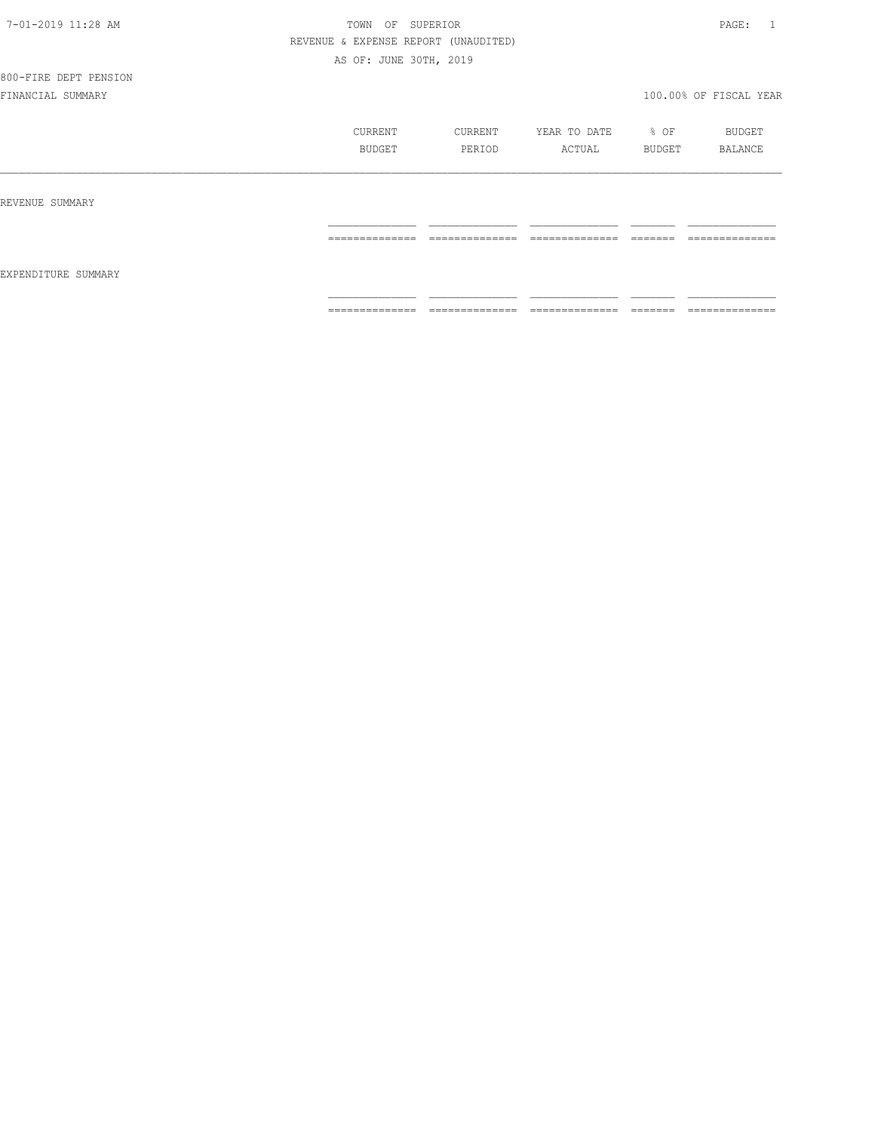800-FIRE DEPT PENSION

|                     | CURRENT<br>BUDGET                                                                                                                                                                                                                                                                                                                                                                                                                                                                            | CURRENT<br>PERIOD                 | YEAR TO DATE<br>ACTUAL                                                                                                                                                                                                                                                                                                                                                                                                                                                                       | % OF<br>BUDGET | BUDGET<br>BALANCE                                                                                                                                                                                                                                                                                                                                                                                                                                                                            |
|---------------------|----------------------------------------------------------------------------------------------------------------------------------------------------------------------------------------------------------------------------------------------------------------------------------------------------------------------------------------------------------------------------------------------------------------------------------------------------------------------------------------------|-----------------------------------|----------------------------------------------------------------------------------------------------------------------------------------------------------------------------------------------------------------------------------------------------------------------------------------------------------------------------------------------------------------------------------------------------------------------------------------------------------------------------------------------|----------------|----------------------------------------------------------------------------------------------------------------------------------------------------------------------------------------------------------------------------------------------------------------------------------------------------------------------------------------------------------------------------------------------------------------------------------------------------------------------------------------------|
| REVENUE SUMMARY     |                                                                                                                                                                                                                                                                                                                                                                                                                                                                                              |                                   |                                                                                                                                                                                                                                                                                                                                                                                                                                                                                              |                |                                                                                                                                                                                                                                                                                                                                                                                                                                                                                              |
|                     | ______________<br>-------------                                                                                                                                                                                                                                                                                                                                                                                                                                                              | ______________                    | ______________                                                                                                                                                                                                                                                                                                                                                                                                                                                                               | --------       | ______________<br>-------------                                                                                                                                                                                                                                                                                                                                                                                                                                                              |
| EXPENDITURE SUMMARY |                                                                                                                                                                                                                                                                                                                                                                                                                                                                                              |                                   |                                                                                                                                                                                                                                                                                                                                                                                                                                                                                              |                |                                                                                                                                                                                                                                                                                                                                                                                                                                                                                              |
|                     | $\begin{array}{c} \multicolumn{2}{c} {\textbf{1}} & \multicolumn{2}{c} {\textbf{2}} & \multicolumn{2}{c} {\textbf{3}} & \multicolumn{2}{c} {\textbf{4}} \\ \multicolumn{2}{c} {\textbf{5}} & \multicolumn{2}{c} {\textbf{6}} & \multicolumn{2}{c} {\textbf{7}} & \multicolumn{2}{c} {\textbf{8}} & \multicolumn{2}{c} {\textbf{9}} \\ \multicolumn{2}{c} {\textbf{6}} & \multicolumn{2}{c} {\textbf{7}} & \multicolumn{2}{c} {\textbf{8}} & \multicolumn{2}{c} {\textbf{9}} & \multicolumn{$ | ______________<br>--------------- | $\begin{array}{c} \multicolumn{2}{c} {\textbf{1}} & \multicolumn{2}{c} {\textbf{2}} & \multicolumn{2}{c} {\textbf{3}} & \multicolumn{2}{c} {\textbf{4}} \\ \multicolumn{2}{c} {\textbf{5}} & \multicolumn{2}{c} {\textbf{6}} & \multicolumn{2}{c} {\textbf{7}} & \multicolumn{2}{c} {\textbf{8}} & \multicolumn{2}{c} {\textbf{9}} \\ \multicolumn{2}{c} {\textbf{1}} & \multicolumn{2}{c} {\textbf{1}} & \multicolumn{2}{c} {\textbf{1}} & \multicolumn{2}{c} {\textbf{1}} & \multicolumn{$ |                | $\begin{array}{c} \multicolumn{2}{c} {\textbf{1}} & \multicolumn{2}{c} {\textbf{2}} & \multicolumn{2}{c} {\textbf{3}} & \multicolumn{2}{c} {\textbf{4}} \\ \multicolumn{2}{c} {\textbf{2}} & \multicolumn{2}{c} {\textbf{3}} & \multicolumn{2}{c} {\textbf{4}} & \multicolumn{2}{c} {\textbf{5}} & \multicolumn{2}{c} {\textbf{6}} \\ \multicolumn{2}{c} {\textbf{4}} & \multicolumn{2}{c} {\textbf{5}} & \multicolumn{2}{c} {\textbf{6}} & \multicolumn{2}{c} {\textbf{6}} & \multicolumn{$ |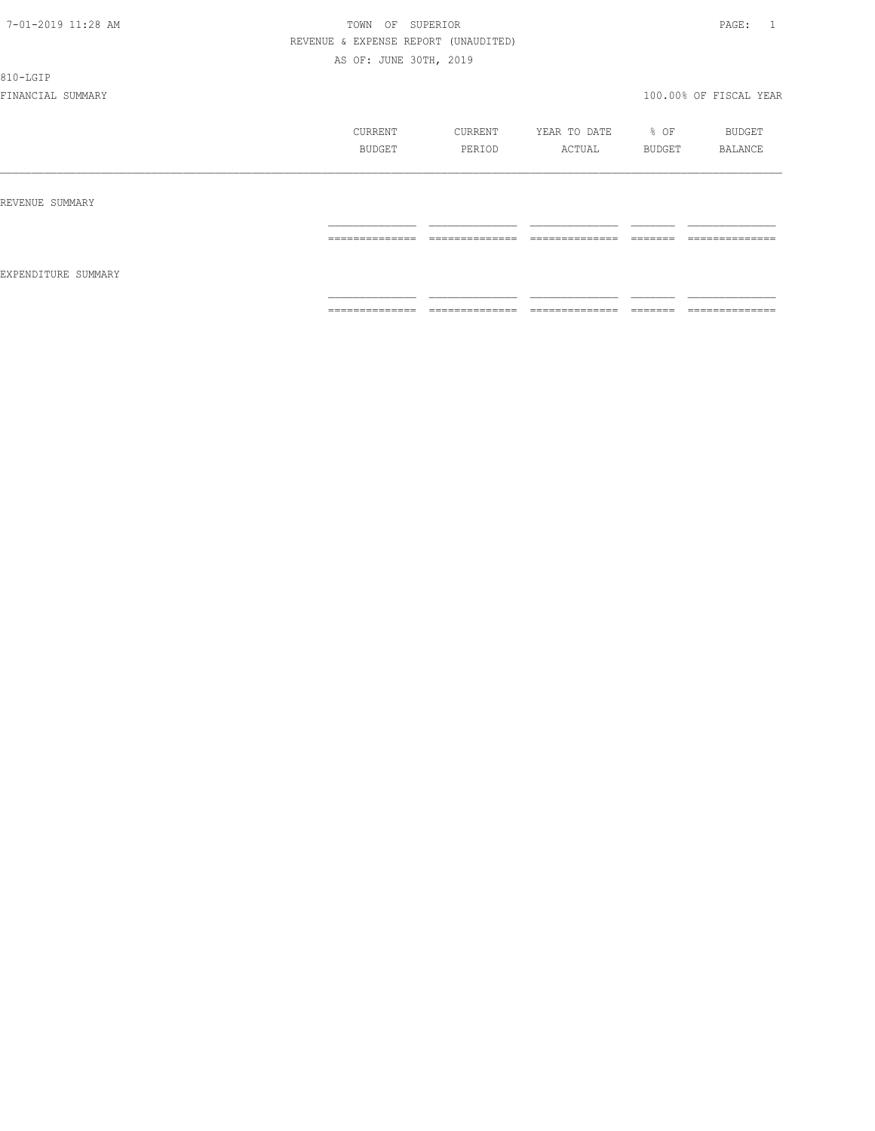810-LGIP

|                     | CURRENT<br>BUDGET | CURRENT<br>PERIOD               | YEAR TO DATE<br>ACTUAL          | % OF<br>BUDGET    | BUDGET<br>BALANCE   |
|---------------------|-------------------|---------------------------------|---------------------------------|-------------------|---------------------|
| REVENUE SUMMARY     |                   |                                 |                                 |                   |                     |
|                     | ==============    | --------------<br>------------- | --------------<br>------------- | -------<br>====== | --------------<br>. |
| EXPENDITURE SUMMARY | ==============    | ==============                  | ==============                  | =======           | ==============      |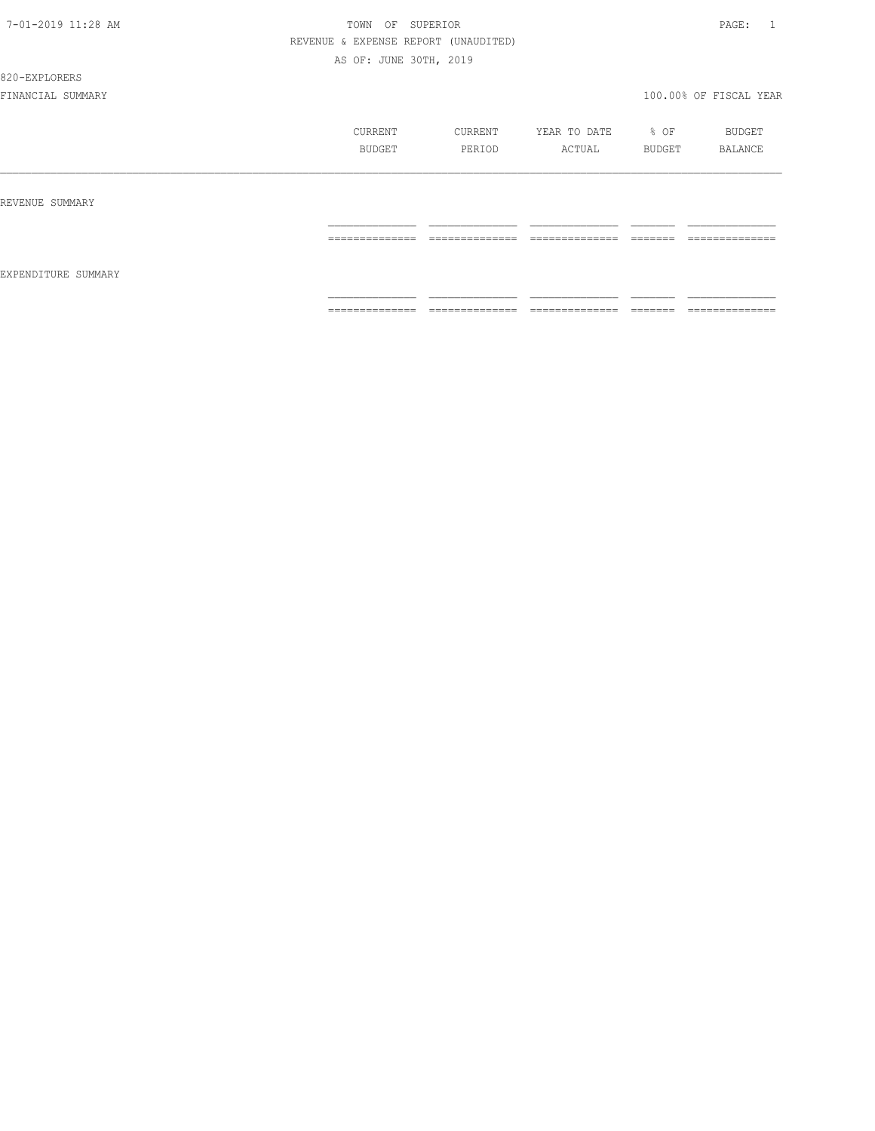820-EXPLORERS

|                     | CURRENT<br>BUDGET                 | CURRENT<br>PERIOD               | YEAR TO DATE<br>ACTUAL | % OF<br>BUDGET     | BUDGET<br>BALANCE                 |
|---------------------|-----------------------------------|---------------------------------|------------------------|--------------------|-----------------------------------|
| REVENUE SUMMARY     |                                   |                                 |                        |                    |                                   |
|                     | ______________<br>--------------- | ______________<br>------------- | ______________<br>.    | --------<br>====== | ______________<br>_______________ |
| EXPENDITURE SUMMARY |                                   |                                 |                        |                    |                                   |
|                     | ______________<br>--------------- | ==============                  | ______________<br>.    | --------<br>______ | ______________<br>.               |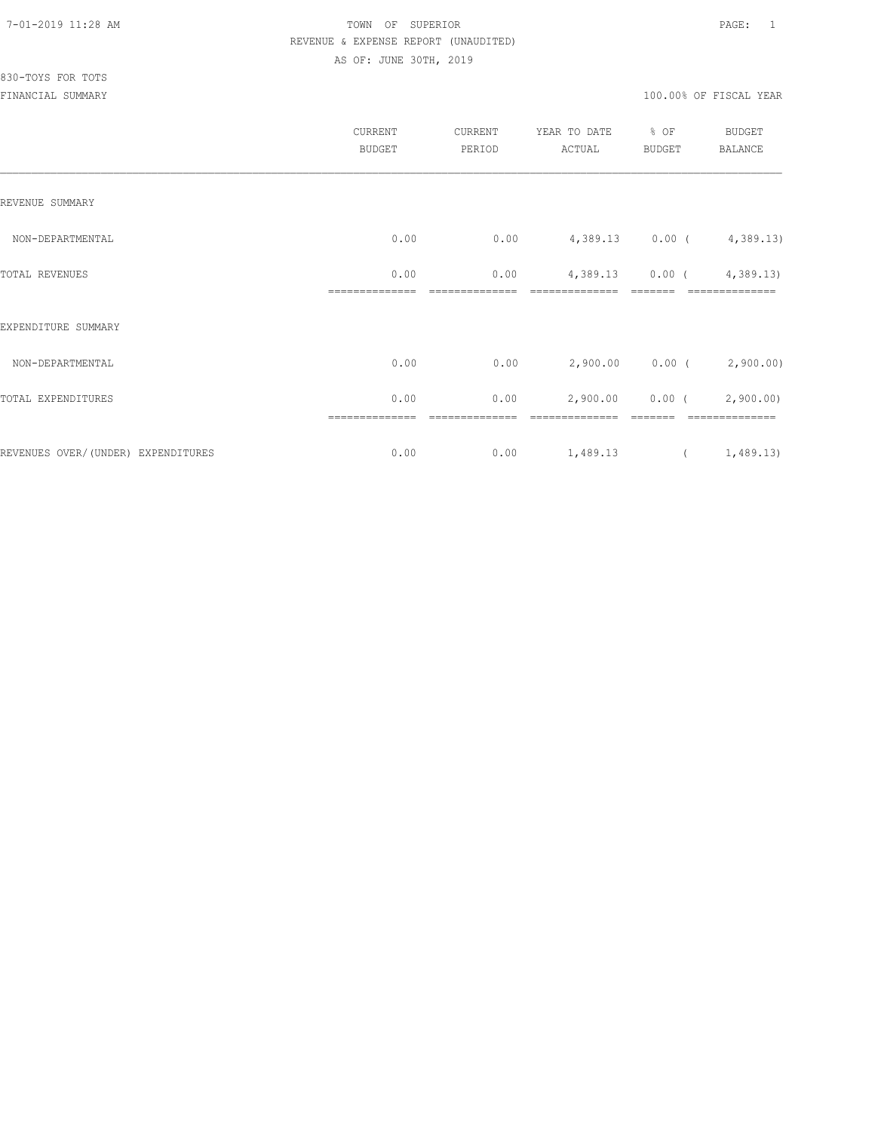|                                    | CURRENT<br><b>BUDGET</b> | CURRENT<br>PERIOD | YEAR TO DATE<br>ACTUAL | % OF<br><b>BUDGET</b> | <b>BUDGET</b><br><b>BALANCE</b> |
|------------------------------------|--------------------------|-------------------|------------------------|-----------------------|---------------------------------|
| REVENUE SUMMARY                    |                          |                   |                        |                       |                                 |
| NON-DEPARTMENTAL                   | 0.00                     | 0.00              |                        |                       | 4,389.13 0.00 (4,389.13)        |
| TOTAL REVENUES                     | 0.00                     | 0.00              | 4,389.13               | $0.00$ (              | 4,389.13)                       |
| EXPENDITURE SUMMARY                |                          |                   |                        |                       |                                 |
| NON-DEPARTMENTAL                   | 0.00                     | 0.00              |                        |                       | $2,900.00$ 0.00 ( 2,900.00)     |
| TOTAL EXPENDITURES                 | 0.00                     | 0.00              | 2,900.00               | $0.00$ (              | 2,900.00)                       |
| REVENUES OVER/(UNDER) EXPENDITURES | 0.00                     | 0.00              | 1,489.13               |                       | (1, 489.13)                     |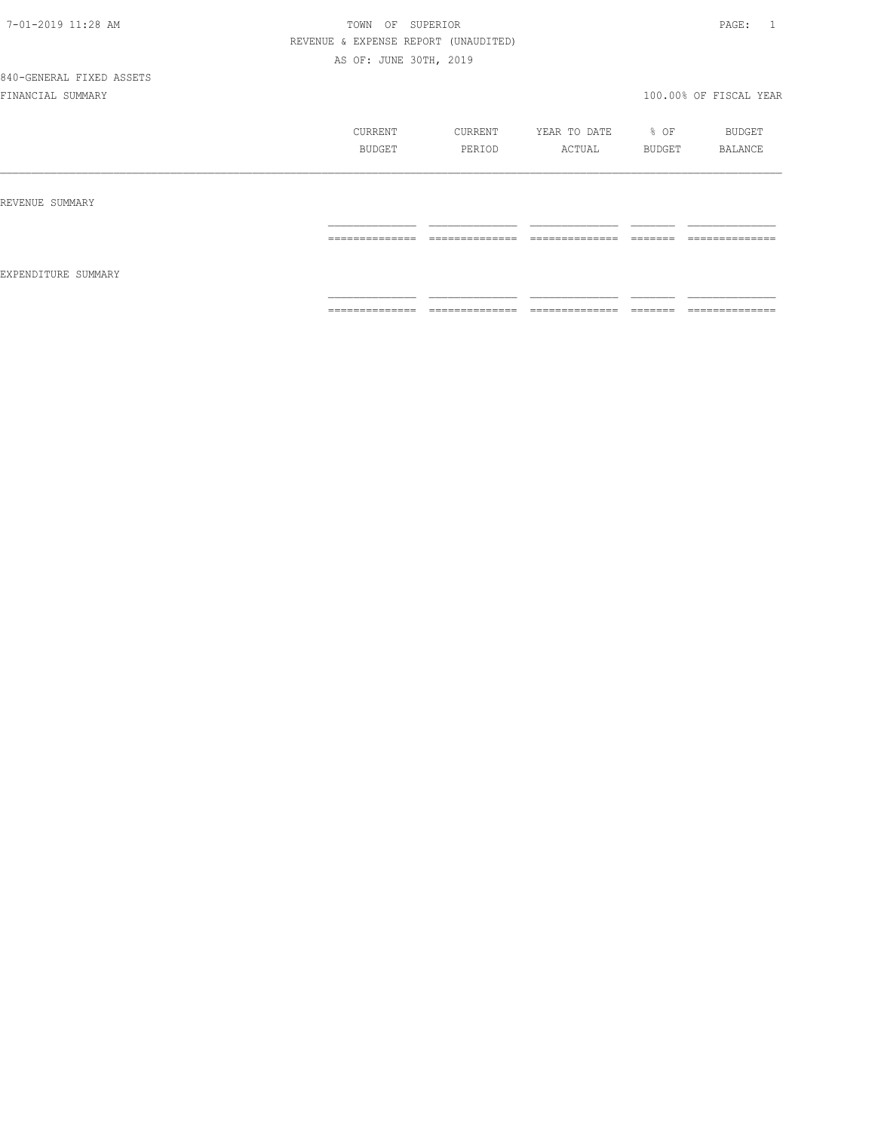840-GENERAL FIXED ASSETS

|                     | CURRENT<br>BUDGET    | CURRENT<br>PERIOD    | YEAR TO DATE<br>ACTUAL | % OF<br>BUDGET      | BUDGET<br>BALANCE   |
|---------------------|----------------------|----------------------|------------------------|---------------------|---------------------|
| REVENUE SUMMARY     |                      |                      |                        |                     |                     |
| EXPENDITURE SUMMARY | ---------------<br>. | ---------------<br>. | ---------------<br>.   | -------<br>======   | --------------<br>. |
|                     | ==============       | ==============       | ==============         | ________<br>------- | ==============      |